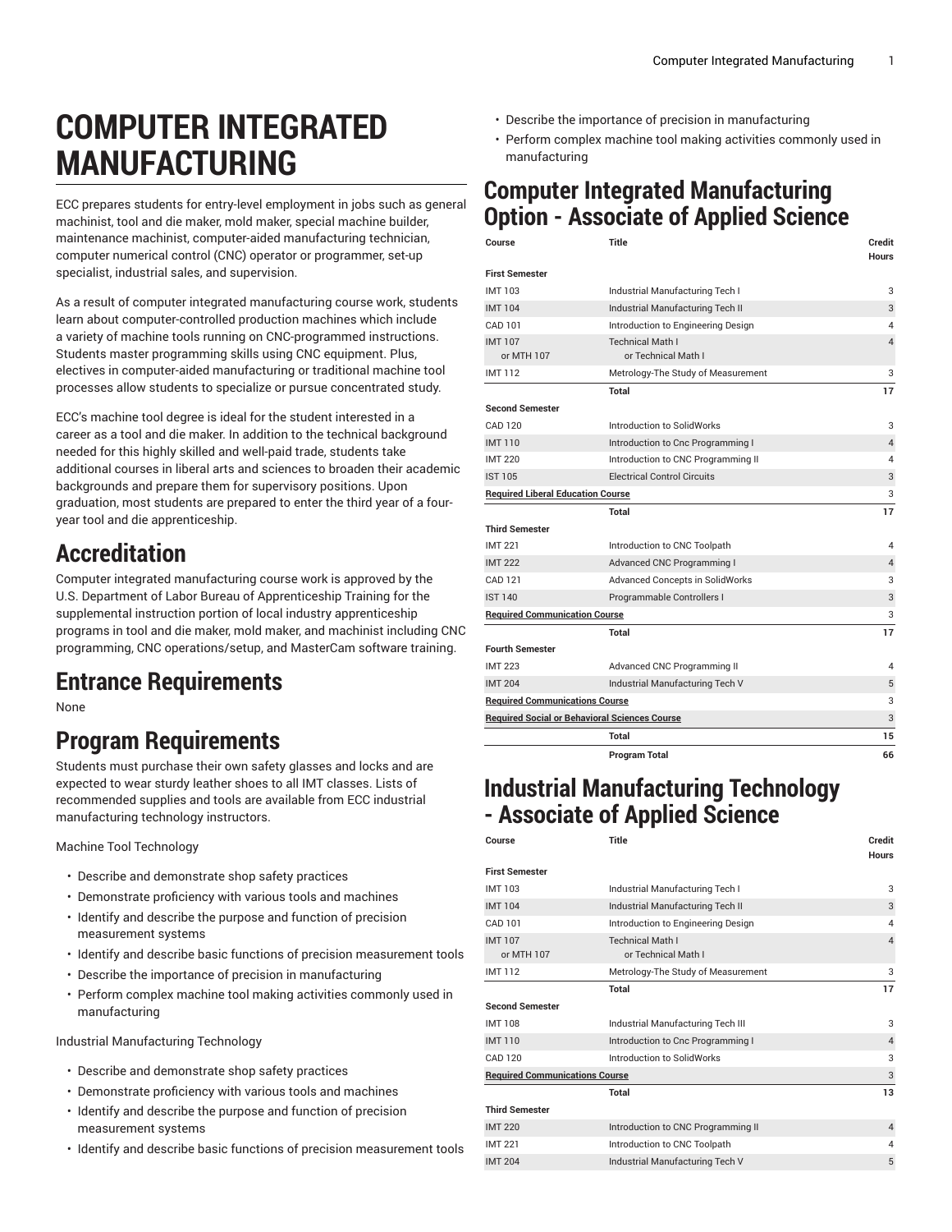# **COMPUTER INTEGRATED MANUFACTURING**

ECC prepares students for entry-level employment in jobs such as general machinist, tool and die maker, mold maker, special machine builder, maintenance machinist, computer-aided manufacturing technician, computer numerical control (CNC) operator or programmer, set-up specialist, industrial sales, and supervision.

As a result of computer integrated manufacturing course work, students learn about computer-controlled production machines which include a variety of machine tools running on CNC-programmed instructions. Students master programming skills using CNC equipment. Plus, electives in computer-aided manufacturing or traditional machine tool processes allow students to specialize or pursue concentrated study.

ECC's machine tool degree is ideal for the student interested in a career as a tool and die maker. In addition to the technical background needed for this highly skilled and well-paid trade, students take additional courses in liberal arts and sciences to broaden their academic backgrounds and prepare them for supervisory positions. Upon graduation, most students are prepared to enter the third year of a fouryear tool and die apprenticeship.

## **Accreditation**

Computer integrated manufacturing course work is approved by the U.S. Department of Labor Bureau of Apprenticeship Training for the supplemental instruction portion of local industry apprenticeship programs in tool and die maker, mold maker, and machinist including CNC programming, CNC operations/setup, and MasterCam software training.

### **Entrance Requirements**

None

### **Program Requirements**

Students must purchase their own safety glasses and locks and are expected to wear sturdy leather shoes to all IMT classes. Lists of recommended supplies and tools are available from ECC industrial manufacturing technology instructors.

Machine Tool Technology

- Describe and demonstrate shop safety practices
- Demonstrate proficiency with various tools and machines
- Identify and describe the purpose and function of precision measurement systems
- Identify and describe basic functions of precision measurement tools
- Describe the importance of precision in manufacturing
- Perform complex machine tool making activities commonly used in manufacturing

Industrial Manufacturing Technology

- Describe and demonstrate shop safety practices
- Demonstrate proficiency with various tools and machines
- Identify and describe the purpose and function of precision measurement systems
- Identify and describe basic functions of precision measurement tools
- Describe the importance of precision in manufacturing
- Perform complex machine tool making activities commonly used in manufacturing

### **Computer Integrated Manufacturing Option - Associate of Applied Science**

| Course                                               | Title                                  | Credit<br><b>Hours</b> |
|------------------------------------------------------|----------------------------------------|------------------------|
| <b>First Semester</b>                                |                                        |                        |
| <b>IMT 103</b>                                       | Industrial Manufacturing Tech I        | 3                      |
| <b>IMT104</b>                                        | Industrial Manufacturing Tech II       | 3                      |
| CAD 101                                              | Introduction to Engineering Design     | 4                      |
| <b>IMT107</b>                                        | <b>Technical Math I</b>                | $\overline{4}$         |
| or MTH 107                                           | or Technical Math I                    |                        |
| <b>IMT112</b>                                        | Metrology-The Study of Measurement     | 3                      |
|                                                      | Total                                  | 17                     |
| <b>Second Semester</b>                               |                                        |                        |
| CAD 120                                              | Introduction to SolidWorks             | 3                      |
| <b>IMT110</b>                                        | Introduction to Cnc Programming I      | $\overline{4}$         |
| <b>IMT 220</b>                                       | Introduction to CNC Programming II     | 4                      |
| <b>IST 105</b>                                       | <b>Electrical Control Circuits</b>     | 3                      |
| <b>Required Liberal Education Course</b>             |                                        | 3                      |
|                                                      | Total                                  | 17                     |
| <b>Third Semester</b>                                |                                        |                        |
| <b>IMT 221</b>                                       | Introduction to CNC Toolpath           | 4                      |
| <b>IMT 222</b>                                       | Advanced CNC Programming I             | $\overline{4}$         |
| CAD 121                                              | <b>Advanced Concepts in SolidWorks</b> | 3                      |
| <b>IST 140</b>                                       | Programmable Controllers I             | 3                      |
| <b>Required Communication Course</b>                 |                                        | 3                      |
|                                                      | Total                                  | 17                     |
| <b>Fourth Semester</b>                               |                                        |                        |
| <b>IMT 223</b>                                       | Advanced CNC Programming II            | 4                      |
| <b>IMT 204</b>                                       | Industrial Manufacturing Tech V        | $\sqrt{5}$             |
| <b>Required Communications Course</b>                |                                        | 3                      |
| <b>Required Social or Behavioral Sciences Course</b> |                                        | 3                      |
|                                                      | Total                                  | 15                     |
|                                                      | <b>Program Total</b>                   | 66                     |

### **Industrial Manufacturing Technology - Associate of Applied Science**

| Course                                | <b>Title</b>                                   | Credit<br><b>Hours</b> |
|---------------------------------------|------------------------------------------------|------------------------|
| <b>First Semester</b>                 |                                                |                        |
| <b>IMT103</b>                         | Industrial Manufacturing Tech I                | 3                      |
| <b>IMT104</b>                         | Industrial Manufacturing Tech II               | 3                      |
| CAD 101                               | Introduction to Engineering Design             | 4                      |
| <b>IMT107</b><br>or MTH 107           | <b>Technical Math I</b><br>or Technical Math I | $\overline{4}$         |
| IMT 112                               | Metrology-The Study of Measurement             | 3                      |
|                                       | <b>Total</b>                                   | 17                     |
| <b>Second Semester</b>                |                                                |                        |
| <b>IMT108</b>                         | Industrial Manufacturing Tech III              | 3                      |
| <b>IMT110</b>                         | Introduction to Cnc Programming I              | $\overline{4}$         |
| CAD 120                               | Introduction to SolidWorks                     | 3                      |
| <b>Required Communications Course</b> |                                                | 3                      |
|                                       | <b>Total</b>                                   | 13                     |
| <b>Third Semester</b>                 |                                                |                        |
| <b>IMT 220</b>                        | Introduction to CNC Programming II             | $\overline{4}$         |
| <b>IMT 221</b>                        | Introduction to CNC Toolpath                   | $\overline{4}$         |
| <b>IMT 204</b>                        | Industrial Manufacturing Tech V                | 5                      |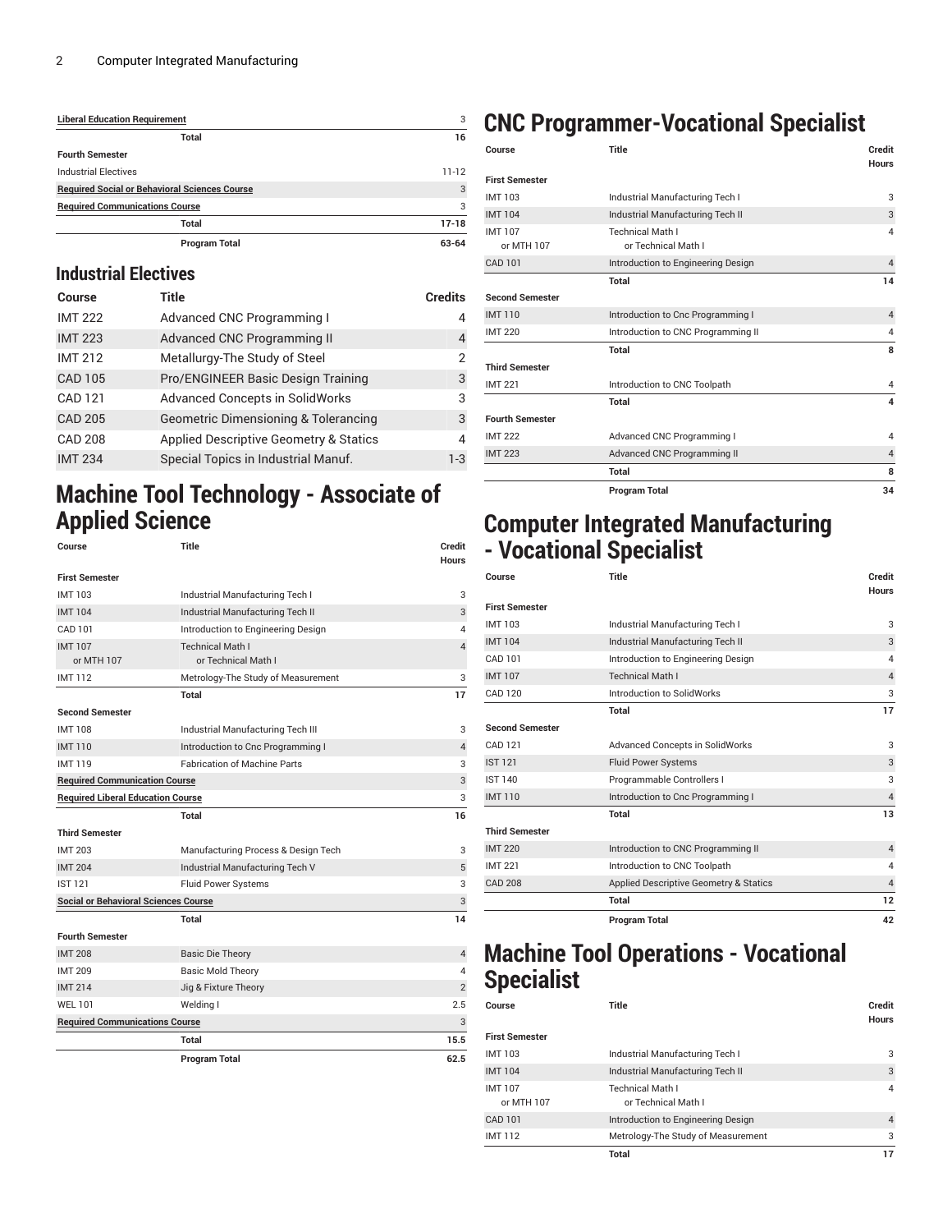| <b>Liberal Education Requirement</b>                 | 3         |
|------------------------------------------------------|-----------|
| Total                                                | 16        |
| <b>Fourth Semester</b>                               |           |
| <b>Industrial Electives</b>                          | $11 - 12$ |
| <b>Required Social or Behavioral Sciences Course</b> | 3         |
| <b>Required Communications Course</b>                | 3         |
| Total                                                | $17-18$   |
| <b>Program Total</b>                                 | 63-64     |

### **Industrial Electives**

| Course         | Title                                           | <b>Credits</b> |
|----------------|-------------------------------------------------|----------------|
| <b>IMT 222</b> | Advanced CNC Programming I                      | 4              |
| <b>IMT 223</b> | Advanced CNC Programming II                     | 4              |
| <b>IMT 212</b> | Metallurgy-The Study of Steel                   | $\mathcal{P}$  |
| <b>CAD 105</b> | Pro/ENGINEER Basic Design Training              | 3              |
| CAD 121        | <b>Advanced Concepts in SolidWorks</b>          | 3              |
| <b>CAD 205</b> | <b>Geometric Dimensioning &amp; Tolerancing</b> | 3              |
| <b>CAD 208</b> | Applied Descriptive Geometry & Statics          | 4              |
| <b>IMT 234</b> | Special Topics in Industrial Manuf.             | $1 - 3$        |

### **Machine Tool Technology - Associate of Applied Science**

| Course                                      | <b>Title</b>                        | <b>Credit</b><br><b>Hours</b> |
|---------------------------------------------|-------------------------------------|-------------------------------|
| <b>First Semester</b>                       |                                     |                               |
| <b>IMT103</b>                               | Industrial Manufacturing Tech I     | 3                             |
| <b>IMT104</b>                               | Industrial Manufacturing Tech II    | 3                             |
| CAD 101                                     | Introduction to Engineering Design  | 4                             |
| <b>IMT107</b>                               | <b>Technical Math I</b>             | $\overline{4}$                |
| or MTH 107                                  | or Technical Math I                 |                               |
| <b>IMT112</b>                               | Metrology-The Study of Measurement  | 3                             |
|                                             | Total                               | 17                            |
| <b>Second Semester</b>                      |                                     |                               |
| <b>IMT108</b>                               | Industrial Manufacturing Tech III   | 3                             |
| <b>IMT110</b>                               | Introduction to Cnc Programming I   | $\overline{4}$                |
| <b>IMT119</b>                               | <b>Fabrication of Machine Parts</b> | 3                             |
| <b>Required Communication Course</b>        |                                     | 3                             |
| <b>Required Liberal Education Course</b>    |                                     | 3                             |
|                                             | Total                               | 16                            |
| <b>Third Semester</b>                       |                                     |                               |
| <b>IMT 203</b>                              | Manufacturing Process & Design Tech | 3                             |
| <b>IMT 204</b>                              | Industrial Manufacturing Tech V     | 5                             |
| <b>IST 121</b>                              | <b>Fluid Power Systems</b>          | 3                             |
| <b>Social or Behavioral Sciences Course</b> |                                     | 3                             |
|                                             | Total                               | 14                            |
| <b>Fourth Semester</b>                      |                                     |                               |
| <b>IMT 208</b>                              | <b>Basic Die Theory</b>             | $\overline{4}$                |
| <b>IMT 209</b>                              | <b>Basic Mold Theory</b>            | 4                             |
| <b>IMT 214</b>                              | Jig & Fixture Theory                | $\overline{2}$                |
| <b>WEL 101</b>                              | Welding I                           | 2.5                           |
| <b>Required Communications Course</b>       |                                     | 3                             |
|                                             | Total                               | 15.5                          |
|                                             | <b>Program Total</b>                | 62.5                          |
|                                             |                                     |                               |

### **CNC Programmer-Vocational Specialist**

| Course                      | <b>Title</b>                                   | Credit<br><b>Hours</b> |
|-----------------------------|------------------------------------------------|------------------------|
| <b>First Semester</b>       |                                                |                        |
| <b>IMT103</b>               | Industrial Manufacturing Tech I                | 3                      |
| <b>IMT104</b>               | Industrial Manufacturing Tech II               | 3                      |
| <b>IMT107</b><br>or MTH 107 | <b>Technical Math I</b><br>or Technical Math I | $\overline{4}$         |
| CAD 101                     | Introduction to Engineering Design             | $\overline{4}$         |
|                             | Total                                          | 14                     |
| <b>Second Semester</b>      |                                                |                        |
| <b>IMT110</b>               | Introduction to Cnc Programming I              | $\overline{4}$         |
| <b>IMT 220</b>              | Introduction to CNC Programming II             | 4                      |
|                             | Total                                          | 8                      |
| <b>Third Semester</b>       |                                                |                        |
| <b>IMT 221</b>              | Introduction to CNC Toolpath                   | 4                      |
|                             | Total                                          | 4                      |
| <b>Fourth Semester</b>      |                                                |                        |
| <b>IMT 222</b>              | Advanced CNC Programming I                     | $\overline{4}$         |
| <b>IMT 223</b>              | Advanced CNC Programming II                    | $\overline{4}$         |
|                             | Total                                          | 8                      |
|                             | <b>Program Total</b>                           | 34                     |

### **Computer Integrated Manufacturing - Vocational Specialist**

| Course                 | <b>Title</b>                           | Credit<br><b>Hours</b>  |
|------------------------|----------------------------------------|-------------------------|
| <b>First Semester</b>  |                                        |                         |
| <b>IMT103</b>          | Industrial Manufacturing Tech I        | 3                       |
| <b>IMT104</b>          | Industrial Manufacturing Tech II       | 3                       |
| CAD 101                | Introduction to Engineering Design     | $\overline{4}$          |
| <b>IMT107</b>          | <b>Technical Math I</b>                | $\overline{4}$          |
| CAD 120                | Introduction to SolidWorks             | 3                       |
|                        | <b>Total</b>                           | 17                      |
| <b>Second Semester</b> |                                        |                         |
| <b>CAD 121</b>         | <b>Advanced Concepts in SolidWorks</b> | 3                       |
| <b>IST 121</b>         | <b>Fluid Power Systems</b>             | 3                       |
| <b>IST 140</b>         | Programmable Controllers I             | 3                       |
| <b>IMT110</b>          | Introduction to Cnc Programming I      | $\overline{4}$          |
|                        | Total                                  | 13                      |
| <b>Third Semester</b>  |                                        |                         |
| <b>IMT 220</b>         | Introduction to CNC Programming II     | $\overline{4}$          |
| <b>IMT 221</b>         | Introduction to CNC Toolpath           | $\overline{\mathbf{A}}$ |
| <b>CAD 208</b>         | Applied Descriptive Geometry & Statics | $\overline{4}$          |
|                        | <b>Total</b>                           | 12                      |
|                        | <b>Program Total</b>                   | 42                      |

### **Machine Tool Operations - Vocational Specialist**

| Course                      | Title                                          | Credit<br><b>Hours</b> |
|-----------------------------|------------------------------------------------|------------------------|
| <b>First Semester</b>       |                                                |                        |
| <b>IMT103</b>               | Industrial Manufacturing Tech I                | 3                      |
| <b>IMT104</b>               | Industrial Manufacturing Tech II               | 3                      |
| <b>IMT107</b><br>or MTH 107 | <b>Technical Math I</b><br>or Technical Math I | 4                      |
| CAD 101                     | Introduction to Engineering Design             | $\overline{4}$         |
| <b>IMT112</b>               | Metrology-The Study of Measurement             | 3                      |
|                             | Total                                          | 17                     |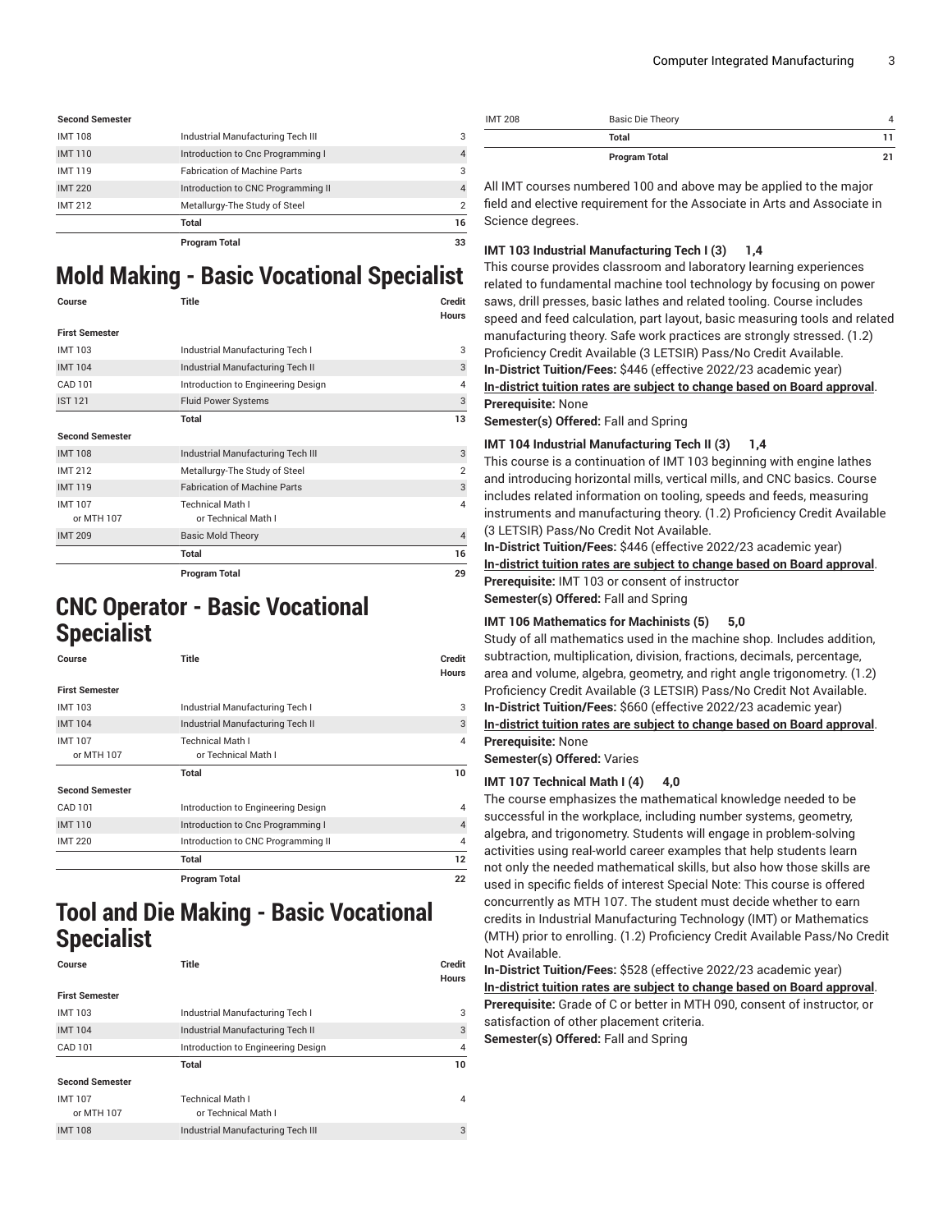| <b>Second Semester</b> |                                     |                |
|------------------------|-------------------------------------|----------------|
| <b>IMT108</b>          | Industrial Manufacturing Tech III   | 3              |
| <b>IMT110</b>          | Introduction to Cnc Programming I   | $\overline{4}$ |
| <b>IMT119</b>          | <b>Fabrication of Machine Parts</b> | 3              |
| <b>IMT 220</b>         | Introduction to CNC Programming II  | $\overline{4}$ |
| <b>IMT 212</b>         | Metallurgy-The Study of Steel       | $\overline{2}$ |
|                        | Total                               | 16             |
|                        | <b>Program Total</b>                | 33             |

## **Mold Making - Basic Vocational Specialist**

|                        | Program Total                       | 29                     |
|------------------------|-------------------------------------|------------------------|
|                        | <b>Total</b>                        | 16                     |
| <b>IMT 209</b>         | <b>Basic Mold Theory</b>            | $\overline{4}$         |
| or MTH 107             | or Technical Math I                 |                        |
| <b>IMT107</b>          | <b>Technical Math I</b>             | $\overline{4}$         |
| <b>IMT119</b>          | <b>Fabrication of Machine Parts</b> | 3                      |
| <b>IMT 212</b>         | Metallurgy-The Study of Steel       | $\overline{2}$         |
| <b>IMT108</b>          | Industrial Manufacturing Tech III   | 3                      |
| <b>Second Semester</b> |                                     |                        |
|                        | Total                               | 13                     |
| <b>IST 121</b>         | <b>Fluid Power Systems</b>          | 3                      |
| CAD 101                | Introduction to Engineering Design  | 4                      |
| <b>IMT104</b>          | Industrial Manufacturing Tech II    | 3                      |
| <b>IMT103</b>          | Industrial Manufacturing Tech I     | 3                      |
| <b>First Semester</b>  |                                     |                        |
| Course                 | Title                               | Credit<br><b>Hours</b> |
|                        |                                     |                        |

### **CNC Operator - Basic Vocational Specialist**

| Course                      | Title                                          | Credit<br><b>Hours</b> |
|-----------------------------|------------------------------------------------|------------------------|
| <b>First Semester</b>       |                                                |                        |
| <b>IMT103</b>               | Industrial Manufacturing Tech I                | 3                      |
| <b>IMT104</b>               | Industrial Manufacturing Tech II               | 3                      |
| <b>IMT107</b><br>or MTH 107 | <b>Technical Math I</b><br>or Technical Math I | $\overline{4}$         |
|                             | Total                                          | 10                     |
| <b>Second Semester</b>      |                                                |                        |
| CAD 101                     | Introduction to Engineering Design             | $\overline{4}$         |
| <b>IMT110</b>               | Introduction to Cnc Programming I              | $\overline{4}$         |
| <b>IMT 220</b>              | Introduction to CNC Programming II             | 4                      |
|                             | <b>Total</b>                                   | 12                     |
|                             | <b>Program Total</b>                           | 22                     |

**Tool and Die Making - Basic Vocational Specialist**

| Course                      | Title                                          | Credit<br><b>Hours</b> |
|-----------------------------|------------------------------------------------|------------------------|
| <b>First Semester</b>       |                                                |                        |
| <b>IMT103</b>               | Industrial Manufacturing Tech I                | 3                      |
| <b>IMT104</b>               | Industrial Manufacturing Tech II               | 3                      |
| CAD 101                     | Introduction to Engineering Design             | $\overline{4}$         |
|                             | Total                                          | 10                     |
| <b>Second Semester</b>      |                                                |                        |
| <b>IMT107</b><br>or MTH 107 | <b>Technical Math I</b><br>or Technical Math I | 4                      |
| <b>IMT108</b>               | Industrial Manufacturing Tech III              | 3                      |

| <b>IMT 208</b> | <b>Basic Die Theory</b> |    |
|----------------|-------------------------|----|
|                | Total                   |    |
|                | <b>Program Total</b>    | 21 |

All IMT courses numbered 100 and above may be applied to the major field and elective requirement for the Associate in Arts and Associate in Science degrees.

#### **IMT 103 Industrial Manufacturing Tech I (3) 1,4**

This course provides classroom and laboratory learning experiences related to fundamental machine tool technology by focusing on power saws, drill presses, basic lathes and related tooling. Course includes speed and feed calculation, part layout, basic measuring tools and related manufacturing theory. Safe work practices are strongly stressed. (1.2) Proficiency Credit Available (3 LETSIR) Pass/No Credit Available. **In-District Tuition/Fees:** \$446 (effective 2022/23 academic year) **[In-district](https://elgin.edu/pay-for-college/tuition-fees/) tuition rates are subject to change based on Board approval**. **Prerequisite:** None

**Semester(s) Offered:** Fall and Spring

#### **IMT 104 Industrial Manufacturing Tech II (3) 1,4**

This course is a continuation of IMT 103 beginning with engine lathes and introducing horizontal mills, vertical mills, and CNC basics. Course includes related information on tooling, speeds and feeds, measuring instruments and manufacturing theory. (1.2) Proficiency Credit Available (3 LETSIR) Pass/No Credit Not Available.

**In-District Tuition/Fees:** \$446 (effective 2022/23 academic year) **[In-district](https://elgin.edu/pay-for-college/tuition-fees/) tuition rates are subject to change based on Board approval**. **Prerequisite:** IMT 103 or consent of instructor **Semester(s) Offered:** Fall and Spring

#### **IMT 106 Mathematics for Machinists (5) 5,0**

Study of all mathematics used in the machine shop. Includes addition, subtraction, multiplication, division, fractions, decimals, percentage, area and volume, algebra, geometry, and right angle trigonometry. (1.2) Proficiency Credit Available (3 LETSIR) Pass/No Credit Not Available.

**In-District Tuition/Fees:** \$660 (effective 2022/23 academic year)

**[In-district](https://elgin.edu/pay-for-college/tuition-fees/) tuition rates are subject to change based on Board approval**. **Prerequisite:** None

**Semester(s) Offered:** Varies

#### **IMT 107 Technical Math I (4) 4,0**

The course emphasizes the mathematical knowledge needed to be successful in the workplace, including number systems, geometry, algebra, and trigonometry. Students will engage in problem-solving activities using real-world career examples that help students learn not only the needed mathematical skills, but also how those skills are used in specific fields of interest Special Note: This course is offered concurrently as MTH 107. The student must decide whether to earn credits in Industrial Manufacturing Technology (IMT) or Mathematics (MTH) prior to enrolling. (1.2) Proficiency Credit Available Pass/No Credit Not Available.

**In-District Tuition/Fees:** \$528 (effective 2022/23 academic year) **[In-district](https://elgin.edu/pay-for-college/tuition-fees/) tuition rates are subject to change based on Board approval**. **Prerequisite:** Grade of C or better in MTH 090, consent of instructor, or satisfaction of other placement criteria. **Semester(s) Offered:** Fall and Spring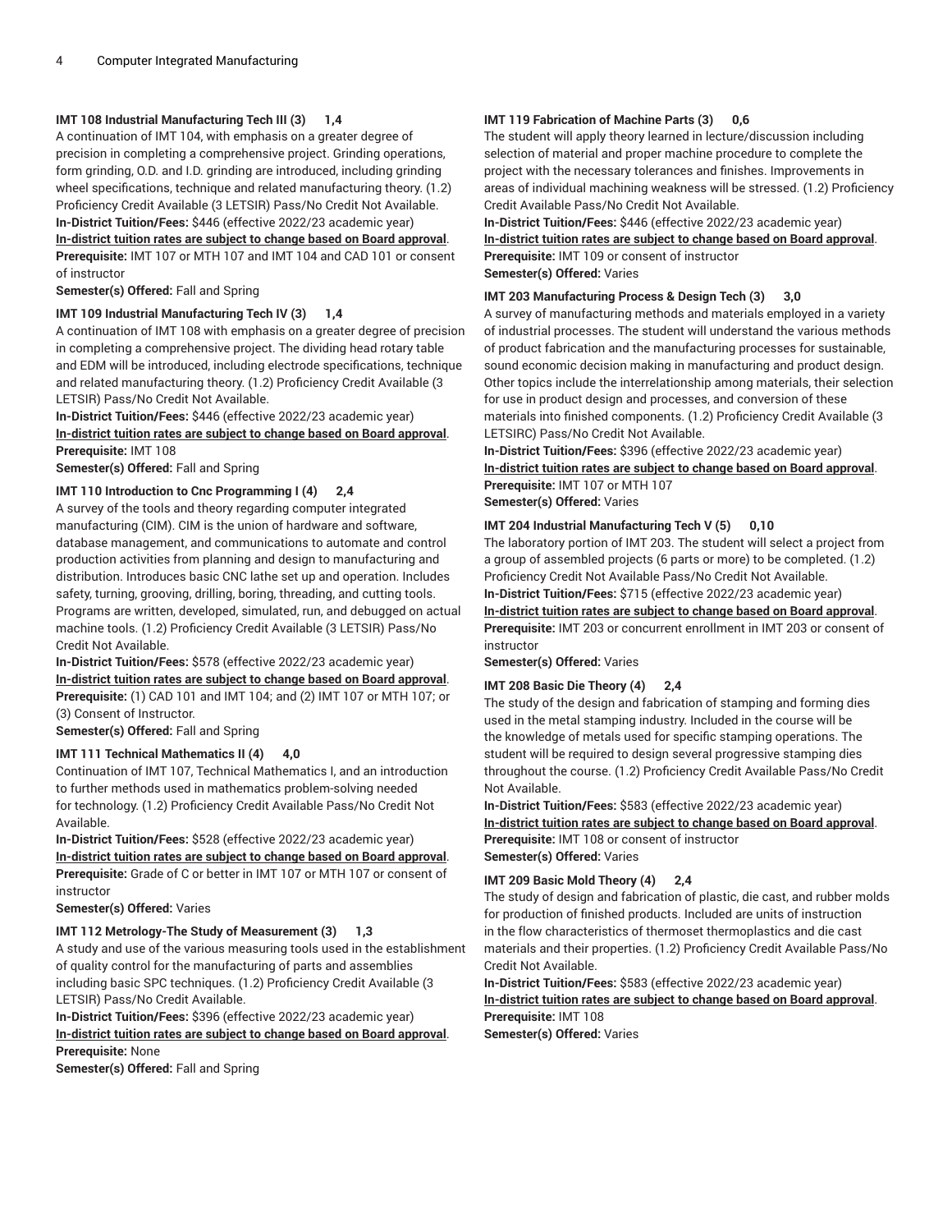#### **IMT 108 Industrial Manufacturing Tech III (3) 1,4**

A continuation of IMT 104, with emphasis on a greater degree of precision in completing a comprehensive project. Grinding operations, form grinding, O.D. and I.D. grinding are introduced, including grinding wheel specifications, technique and related manufacturing theory. (1.2) Proficiency Credit Available (3 LETSIR) Pass/No Credit Not Available. **In-District Tuition/Fees:** \$446 (effective 2022/23 academic year) **[In-district](https://elgin.edu/pay-for-college/tuition-fees/) tuition rates are subject to change based on Board approval**.

**Prerequisite:** IMT 107 or MTH 107 and IMT 104 and CAD 101 or consent of instructor

**Semester(s) Offered:** Fall and Spring

#### **IMT 109 Industrial Manufacturing Tech IV (3) 1,4**

A continuation of IMT 108 with emphasis on a greater degree of precision in completing a comprehensive project. The dividing head rotary table and EDM will be introduced, including electrode specifications, technique and related manufacturing theory. (1.2) Proficiency Credit Available (3 LETSIR) Pass/No Credit Not Available.

**In-District Tuition/Fees:** \$446 (effective 2022/23 academic year) **[In-district](https://elgin.edu/pay-for-college/tuition-fees/) tuition rates are subject to change based on Board approval**. **Prerequisite:** IMT 108

**Semester(s) Offered:** Fall and Spring

#### **IMT 110 Introduction to Cnc Programming I (4) 2,4**

A survey of the tools and theory regarding computer integrated manufacturing (CIM). CIM is the union of hardware and software, database management, and communications to automate and control production activities from planning and design to manufacturing and distribution. Introduces basic CNC lathe set up and operation. Includes safety, turning, grooving, drilling, boring, threading, and cutting tools. Programs are written, developed, simulated, run, and debugged on actual machine tools. (1.2) Proficiency Credit Available (3 LETSIR) Pass/No Credit Not Available.

**In-District Tuition/Fees:** \$578 (effective 2022/23 academic year) **[In-district](https://elgin.edu/pay-for-college/tuition-fees/) tuition rates are subject to change based on Board approval**. **Prerequisite:** (1) CAD 101 and IMT 104; and (2) IMT 107 or MTH 107; or (3) Consent of Instructor.

**Semester(s) Offered:** Fall and Spring

#### **IMT 111 Technical Mathematics II (4) 4,0**

Continuation of IMT 107, Technical Mathematics I, and an introduction to further methods used in mathematics problem-solving needed for technology. (1.2) Proficiency Credit Available Pass/No Credit Not Available.

**In-District Tuition/Fees:** \$528 (effective 2022/23 academic year) **[In-district](https://elgin.edu/pay-for-college/tuition-fees/) tuition rates are subject to change based on Board approval**. **Prerequisite:** Grade of C or better in IMT 107 or MTH 107 or consent of instructor

**Semester(s) Offered:** Varies

#### **IMT 112 Metrology-The Study of Measurement (3) 1,3**

A study and use of the various measuring tools used in the establishment of quality control for the manufacturing of parts and assemblies including basic SPC techniques. (1.2) Proficiency Credit Available (3 LETSIR) Pass/No Credit Available.

**In-District Tuition/Fees:** \$396 (effective 2022/23 academic year) **[In-district](https://elgin.edu/pay-for-college/tuition-fees/) tuition rates are subject to change based on Board approval**.

**Prerequisite:** None

**Semester(s) Offered:** Fall and Spring

#### **IMT 119 Fabrication of Machine Parts (3) 0,6**

The student will apply theory learned in lecture/discussion including selection of material and proper machine procedure to complete the project with the necessary tolerances and finishes. Improvements in areas of individual machining weakness will be stressed. (1.2) Proficiency Credit Available Pass/No Credit Not Available.

**In-District Tuition/Fees:** \$446 (effective 2022/23 academic year) **[In-district](https://elgin.edu/pay-for-college/tuition-fees/) tuition rates are subject to change based on Board approval**. **Prerequisite:** IMT 109 or consent of instructor

**Semester(s) Offered:** Varies

#### **IMT 203 Manufacturing Process & Design Tech (3) 3,0**

A survey of manufacturing methods and materials employed in a variety of industrial processes. The student will understand the various methods of product fabrication and the manufacturing processes for sustainable, sound economic decision making in manufacturing and product design. Other topics include the interrelationship among materials, their selection for use in product design and processes, and conversion of these materials into finished components. (1.2) Proficiency Credit Available (3 LETSIRC) Pass/No Credit Not Available.

**In-District Tuition/Fees:** \$396 (effective 2022/23 academic year) **[In-district](https://elgin.edu/pay-for-college/tuition-fees/) tuition rates are subject to change based on Board approval**. **Prerequisite:** IMT 107 or MTH 107 **Semester(s) Offered:** Varies

#### **IMT 204 Industrial Manufacturing Tech V (5) 0,10**

The laboratory portion of IMT 203. The student will select a project from a group of assembled projects (6 parts or more) to be completed. (1.2) Proficiency Credit Not Available Pass/No Credit Not Available.

**In-District Tuition/Fees:** \$715 (effective 2022/23 academic year)

**[In-district](https://elgin.edu/pay-for-college/tuition-fees/) tuition rates are subject to change based on Board approval**. **Prerequisite:** IMT 203 or concurrent enrollment in IMT 203 or consent of instructor

**Semester(s) Offered:** Varies

#### **IMT 208 Basic Die Theory (4) 2,4**

The study of the design and fabrication of stamping and forming dies used in the metal stamping industry. Included in the course will be the knowledge of metals used for specific stamping operations. The student will be required to design several progressive stamping dies throughout the course. (1.2) Proficiency Credit Available Pass/No Credit Not Available.

**In-District Tuition/Fees:** \$583 (effective 2022/23 academic year) **[In-district](https://elgin.edu/pay-for-college/tuition-fees/) tuition rates are subject to change based on Board approval**. **Prerequisite:** IMT 108 or consent of instructor **Semester(s) Offered:** Varies

#### **IMT 209 Basic Mold Theory (4) 2,4**

The study of design and fabrication of plastic, die cast, and rubber molds for production of finished products. Included are units of instruction in the flow characteristics of thermoset thermoplastics and die cast materials and their properties. (1.2) Proficiency Credit Available Pass/No Credit Not Available.

**In-District Tuition/Fees:** \$583 (effective 2022/23 academic year) **[In-district](https://elgin.edu/pay-for-college/tuition-fees/) tuition rates are subject to change based on Board approval**. **Prerequisite:** IMT 108

**Semester(s) Offered:** Varies